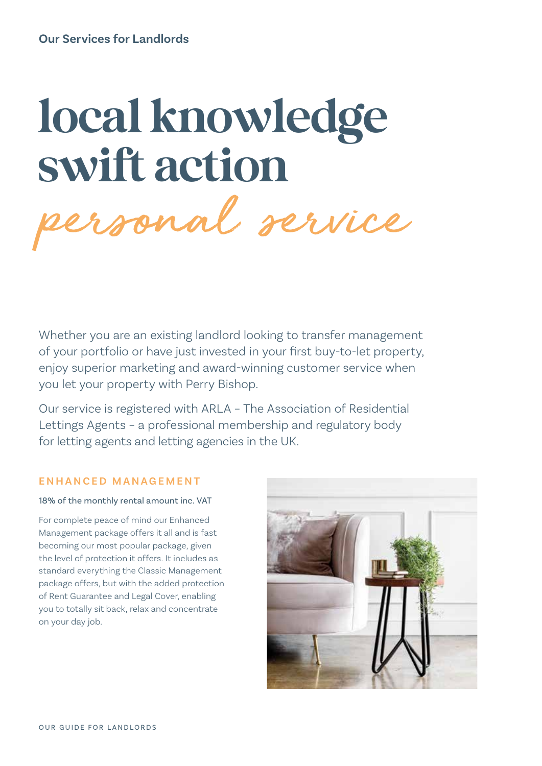# personal service local knowledge swift action

Whether you are an existing landlord looking to transfer management of your portfolio or have just invested in your first buy-to-let property, enjoy superior marketing and award-winning customer service when

you let your property with Perry Bishop.

Our service is registered with ARLA – The Association of Residential Lettings Agents – a professional membership and regulatory body for letting agents and letting agencies in the UK.

## **ENHANCED MANAGEMENT**

#### 18% of the monthly rental amount inc. VAT

For complete peace of mind our Enhanced Management package offers it all and is fast becoming our most popular package, given the level of protection it offers. It includes as standard everything the Classic Management package offers, but with the added protection of Rent Guarantee and Legal Cover, enabling you to totally sit back, relax and concentrate on your day job.

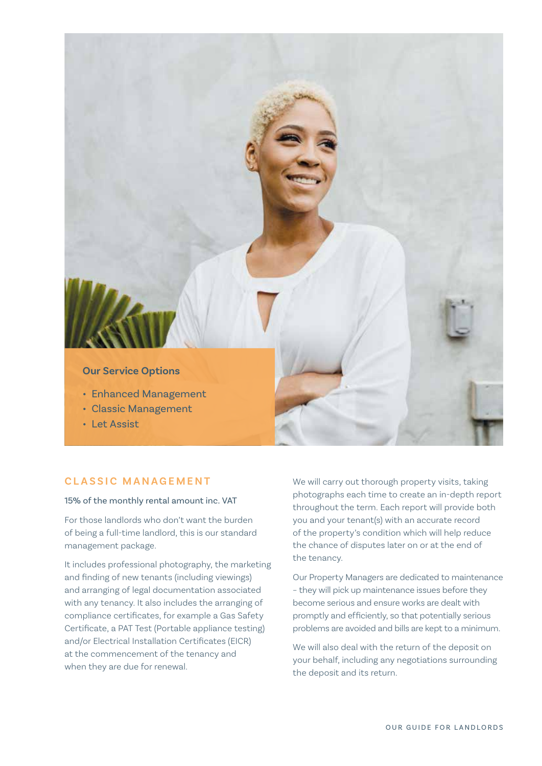

## **CLASSIC MANAGEMENT**

15% of the monthly rental amount inc. VAT

For those landlords who don't want the burden of being a full-time landlord, this is our standard management package.

It includes professional photography, the marketing and finding of new tenants (including viewings) and arranging of legal documentation associated with any tenancy. It also includes the arranging of compliance certificates, for example a Gas Safety Certificate, a PAT Test (Portable appliance testing) and/or Electrical Installation Certificates (EICR) at the commencement of the tenancy and when they are due for renewal.

We will carry out thorough property visits, taking photographs each time to create an in-depth report throughout the term. Each report will provide both you and your tenant(s) with an accurate record of the property's condition which will help reduce the chance of disputes later on or at the end of the tenancy.

Our Property Managers are dedicated to maintenance – they will pick up maintenance issues before they become serious and ensure works are dealt with promptly and efficiently, so that potentially serious problems are avoided and bills are kept to a minimum.

We will also deal with the return of the deposit on your behalf, including any negotiations surrounding the deposit and its return.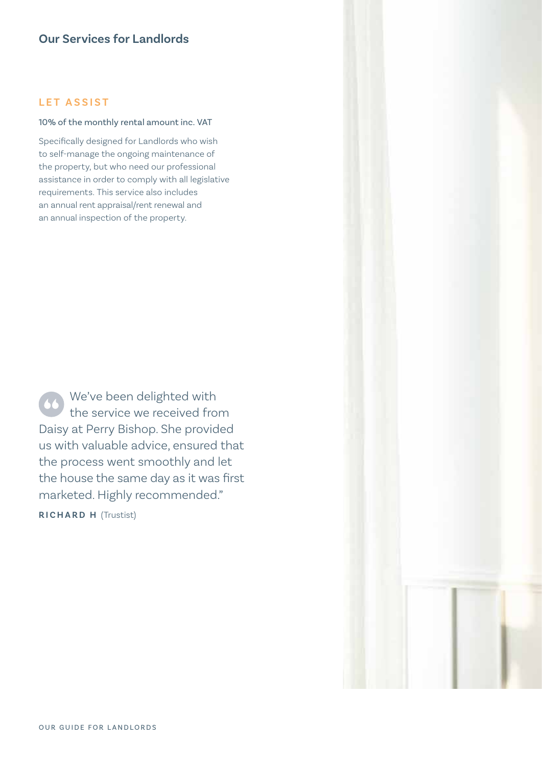# **Our Services for Landlords**

### **LET ASSIST**

10% of the monthly rental amount inc. VAT

Specifically designed for Landlords who wish to self-manage the ongoing maintenance of the property, but who need our professional assistance in order to comply with all legislative requirements. This service also includes an annual rent appraisal/rent renewal and an annual inspection of the property.

We've been delighted with the service we received from Daisy at Perry Bishop. She provided us with valuable advice, ensured that the process went smoothly and let the house the same day as it was first marketed. Highly recommended."

**RICHARD H** (Trustist)

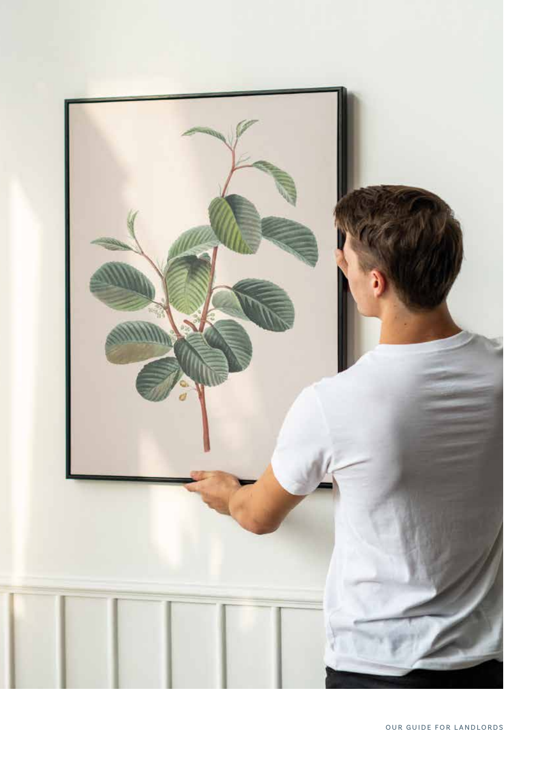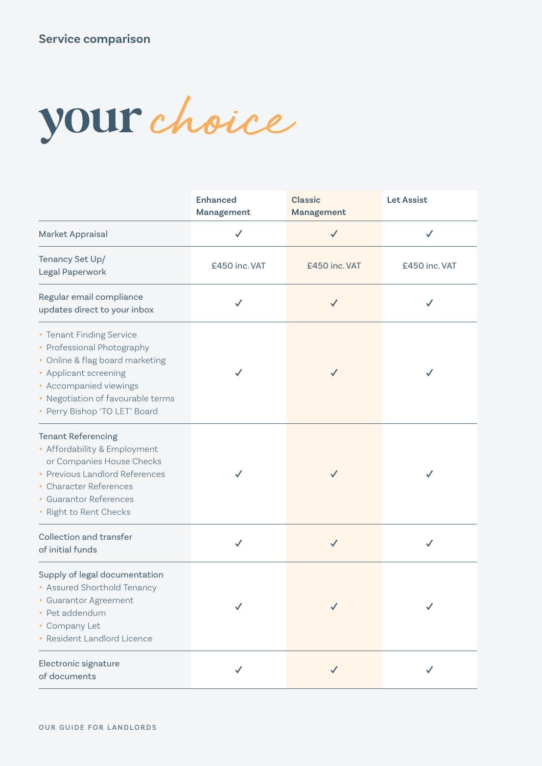

|                                                                                                                                                                                                                    | <b>Enhanced</b><br>Management | <b>Classic</b><br><b>Management</b> | <b>Let Assist</b> |
|--------------------------------------------------------------------------------------------------------------------------------------------------------------------------------------------------------------------|-------------------------------|-------------------------------------|-------------------|
| Market Appraisal                                                                                                                                                                                                   | ✓                             | $\checkmark$                        | $\checkmark$      |
| Tenancy Set Up/<br>Legal Paperwork                                                                                                                                                                                 | £450 inc. VAT                 | £450 inc. VAT                       | £450 inc. VAT     |
| Regular email compliance<br>updates direct to your inbox                                                                                                                                                           | ✓                             | $\checkmark$                        | $\checkmark$      |
| • Tenant Finding Service<br>• Professional Photography<br>· Online & flag board marketing<br>• Applicant screening<br>• Accompanied viewings<br>• Negotiation of favourable terms<br>• Perry Bishop 'TO LET' Board | ✓                             | $\checkmark$                        | $\checkmark$      |
| <b>Tenant Referencing</b><br>• Affordability & Employment<br>or Companies House Checks<br>• Previous Landlord References<br>• Character References<br>· Guarantor References<br>• Right to Rent Checks             |                               | ✓                                   | ✓                 |
| Collection and transfer<br>of initial funds                                                                                                                                                                        | $\checkmark$                  | $\checkmark$                        | $\checkmark$      |
| Supply of legal documentation<br>• Assured Shorthold Tenancy<br>· Guarantor Agreement<br>• Pet addendum<br>• Company Let<br>• Resident Landlord Licence                                                            |                               |                                     |                   |
| Electronic signature<br>of documents                                                                                                                                                                               | $\checkmark$                  | $\checkmark$                        | $\checkmark$      |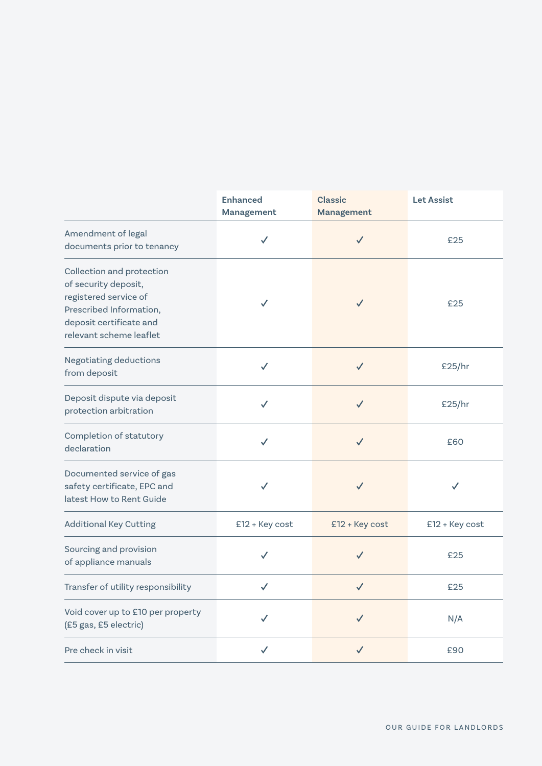|                                                                                                                                                             | <b>Enhanced</b><br><b>Management</b> | <b>Classic</b><br><b>Management</b> | <b>Let Assist</b> |
|-------------------------------------------------------------------------------------------------------------------------------------------------------------|--------------------------------------|-------------------------------------|-------------------|
| Amendment of legal<br>documents prior to tenancy                                                                                                            | $\checkmark$                         | $\checkmark$                        | £25               |
| Collection and protection<br>of security deposit,<br>registered service of<br>Prescribed Information,<br>deposit certificate and<br>relevant scheme leaflet | $\checkmark$                         | $\checkmark$                        | £25               |
| Negotiating deductions<br>from deposit                                                                                                                      | $\checkmark$                         | $\checkmark$                        | £25/hr            |
| Deposit dispute via deposit<br>protection arbitration                                                                                                       | $\checkmark$                         | $\checkmark$                        | £25/hr            |
| Completion of statutory<br>declaration                                                                                                                      | $\checkmark$                         | $\checkmark$                        | £60               |
| Documented service of gas<br>safety certificate, EPC and<br>latest How to Rent Guide                                                                        | $\checkmark$                         | $\checkmark$                        | $\checkmark$      |
| <b>Additional Key Cutting</b>                                                                                                                               | £12 + Key cost                       | £12 + Key cost                      | £12 + Key cost    |
| Sourcing and provision<br>of appliance manuals                                                                                                              | ✓                                    | $\checkmark$                        | £25               |
| Transfer of utility responsibility                                                                                                                          | $\checkmark$                         | $\checkmark$                        | £25               |
| Void cover up to £10 per property<br>(£5 gas, £5 electric)                                                                                                  | $\checkmark$                         | $\checkmark$                        | N/A               |
| Pre check in visit                                                                                                                                          | ✓                                    | $\checkmark$                        | £90               |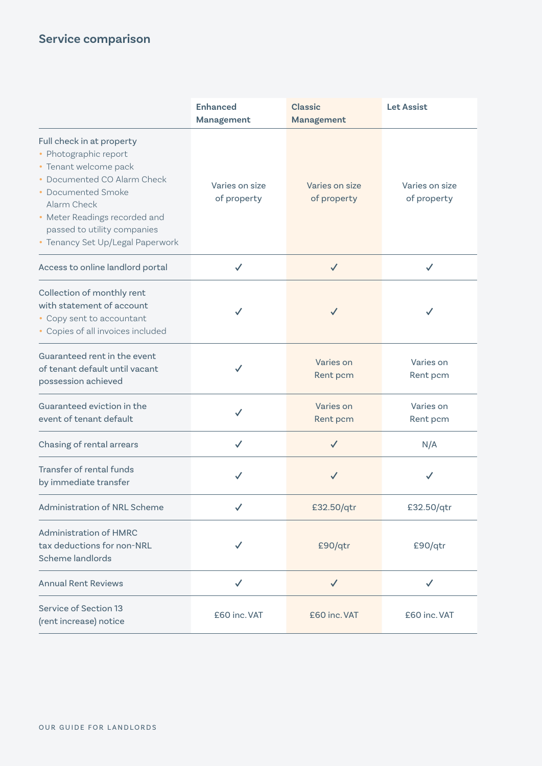|                                                                                                                                                                                                                                                     | <b>Enhanced</b><br>Management | <b>Classic</b><br><b>Management</b> | <b>Let Assist</b>             |
|-----------------------------------------------------------------------------------------------------------------------------------------------------------------------------------------------------------------------------------------------------|-------------------------------|-------------------------------------|-------------------------------|
| Full check in at property<br>• Photographic report<br>• Tenant welcome pack<br>• Documented CO Alarm Check<br>• Documented Smoke<br>Alarm Check<br>• Meter Readings recorded and<br>passed to utility companies<br>• Tenancy Set Up/Legal Paperwork | Varies on size<br>of property | Varies on size<br>of property       | Varies on size<br>of property |
| Access to online landlord portal                                                                                                                                                                                                                    | $\checkmark$                  | $\checkmark$                        | $\checkmark$                  |
| Collection of monthly rent<br>with statement of account<br>• Copy sent to accountant<br>• Copies of all invoices included                                                                                                                           |                               | ✓                                   | ✓                             |
| Guaranteed rent in the event<br>of tenant default until vacant<br>possession achieved                                                                                                                                                               | ✓                             | Varies on<br>Rent pcm               | Varies on<br>Rent pcm         |
| Guaranteed eviction in the<br>event of tenant default                                                                                                                                                                                               | $\checkmark$                  | Varies on<br>Rent pcm               | Varies on<br>Rent pcm         |
| Chasing of rental arrears                                                                                                                                                                                                                           | $\checkmark$                  | $\checkmark$                        | N/A                           |
| Transfer of rental funds<br>by immediate transfer                                                                                                                                                                                                   | ✓                             | ✓                                   |                               |
| Administration of NRL Scheme                                                                                                                                                                                                                        |                               | £32.50/qtr                          | £32.50/qtr                    |
| <b>Administration of HMRC</b><br>tax deductions for non-NRL<br>Scheme landlords                                                                                                                                                                     | ✓                             | £90/qtr                             | £90/qtr                       |
| <b>Annual Rent Reviews</b>                                                                                                                                                                                                                          | $\checkmark$                  | $\checkmark$                        | $\checkmark$                  |
| <b>Service of Section 13</b><br>(rent increase) notice                                                                                                                                                                                              | £60 inc. VAT                  | £60 inc. VAT                        | £60 inc. VAT                  |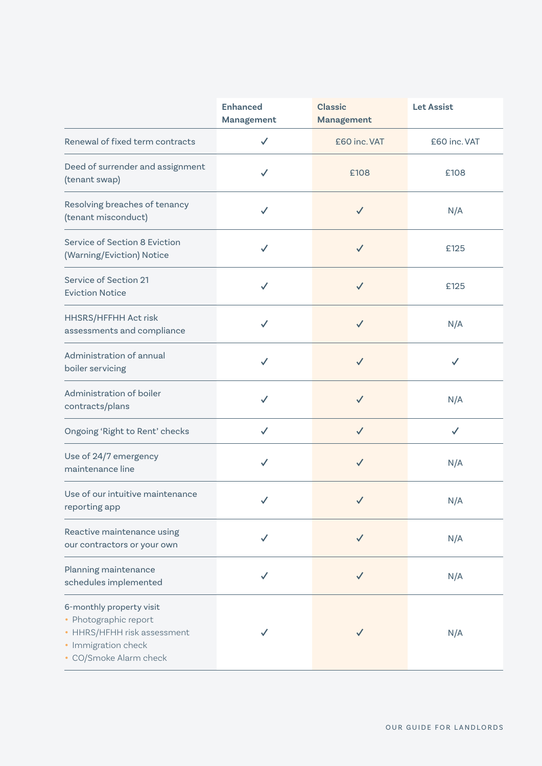|                                                                                                                                   | <b>Enhanced</b><br>Management | <b>Classic</b><br><b>Management</b> | <b>Let Assist</b> |
|-----------------------------------------------------------------------------------------------------------------------------------|-------------------------------|-------------------------------------|-------------------|
| Renewal of fixed term contracts                                                                                                   | $\checkmark$                  | £60 inc. VAT                        | £60 inc. VAT      |
| Deed of surrender and assignment<br>(tenant swap)                                                                                 | $\checkmark$                  | £108                                | £108              |
| Resolving breaches of tenancy<br>(tenant misconduct)                                                                              | $\checkmark$                  | $\checkmark$                        | N/A               |
| Service of Section 8 Eviction<br>(Warning/Eviction) Notice                                                                        | $\checkmark$                  | $\checkmark$                        | £125              |
| Service of Section 21<br><b>Eviction Notice</b>                                                                                   | $\checkmark$                  | $\checkmark$                        | £125              |
| HHSRS/HFFHH Act risk<br>assessments and compliance                                                                                | ✓                             | $\checkmark$                        | N/A               |
| Administration of annual<br>boiler servicing                                                                                      | $\checkmark$                  | $\checkmark$                        | $\checkmark$      |
| Administration of boiler<br>contracts/plans                                                                                       | $\checkmark$                  | $\checkmark$                        | N/A               |
| Ongoing 'Right to Rent' checks                                                                                                    | $\checkmark$                  | $\checkmark$                        | $\checkmark$      |
| Use of 24/7 emergency<br>maintenance line                                                                                         | $\checkmark$                  | $\checkmark$                        | N/A               |
| Use of our intuitive maintenance<br>reporting app                                                                                 | $\checkmark$                  | $\checkmark$                        | N/A               |
| Reactive maintenance using<br>our contractors or your own                                                                         | $\checkmark$                  | $\checkmark$                        | N/A               |
| Planning maintenance<br>schedules implemented                                                                                     | $\checkmark$                  | $\checkmark$                        | N/A               |
| 6-monthly property visit<br>• Photographic report<br>• HHRS/HFHH risk assessment<br>• Immigration check<br>• CO/Smoke Alarm check |                               | $\checkmark$                        | N/A               |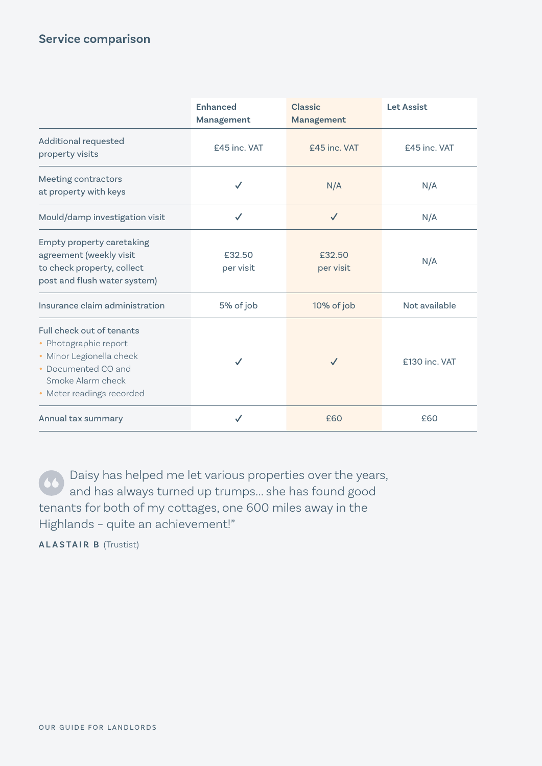|                                                                                                                                                         | <b>Enhanced</b><br>Management | <b>Classic</b><br><b>Management</b> | <b>Let Assist</b> |
|---------------------------------------------------------------------------------------------------------------------------------------------------------|-------------------------------|-------------------------------------|-------------------|
| Additional requested<br>property visits                                                                                                                 | £45 inc. VAT                  | £45 inc. VAT                        | £45 inc. VAT      |
| Meeting contractors<br>at property with keys                                                                                                            | $\checkmark$                  | N/A                                 | N/A               |
| Mould/damp investigation visit                                                                                                                          | $\checkmark$                  | $\checkmark$                        | N/A               |
| <b>Empty property caretaking</b><br>agreement (weekly visit<br>to check property, collect<br>post and flush water system)                               | £32.50<br>per visit           | £32.50<br>per visit                 | N/A               |
| Insurance claim administration                                                                                                                          | 5% of job                     | 10% of job                          | Not available     |
| Full check out of tenants<br>• Photographic report<br>· Minor Legionella check<br>· Documented CO and<br>Smoke Alarm check<br>• Meter readings recorded | ✓                             | $\checkmark$                        | £130 inc. VAT     |
| Annual tax summary                                                                                                                                      |                               | £60                                 | £60               |

Daisy has helped me let various properties over the years, and has always turned up trumps... she has found good tenants for both of my cottages, one 600 miles away in the Highlands – quite an achievement!"

**ALASTAIR B** (Trustist)